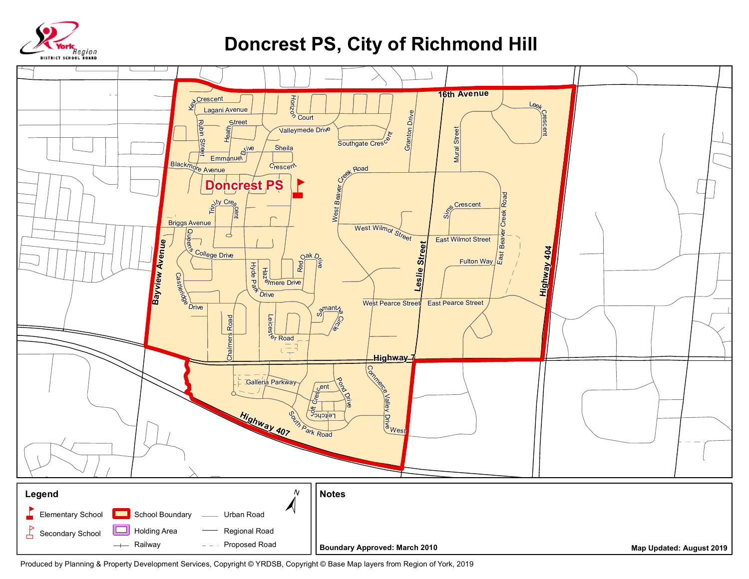

## **Doncrest PS, City of Richmond Hill**



Produced by Planning & Property Development Services, Copyright © YRDSB, Copyright © Base Map layers from Region of York, 2019